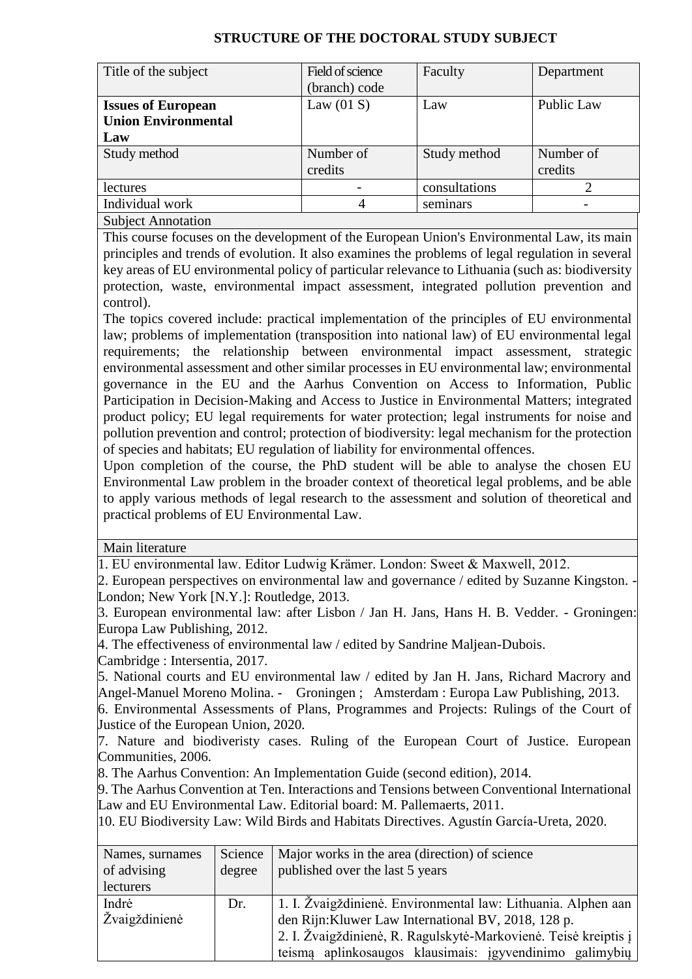## **STRUCTURE OF THE DOCTORAL STUDY SUBJECT**

| Title of the subject       | Field of science | Faculty       | Department |
|----------------------------|------------------|---------------|------------|
|                            | (branch) code    |               |            |
| <b>Issues of European</b>  | Law $(01 S)$     | Law           | Public Law |
| <b>Union Environmental</b> |                  |               |            |
| Law                        |                  |               |            |
| Study method               | Number of        | Study method  | Number of  |
|                            | credits          |               | credits    |
| lectures                   |                  | consultations |            |
| Individual work            | 4                | seminars      |            |
| <b>Subject Annotation</b>  |                  |               |            |

This course focuses on the development of the European Union's Environmental Law, its main principles and trends of evolution. It also examines the problems of legal regulation in several key areas of EU environmental policy of particular relevance to Lithuania (such as: biodiversity protection, waste, environmental impact assessment, integrated pollution prevention and control).

The topics covered include: practical implementation of the principles of EU environmental law; problems of implementation (transposition into national law) of EU environmental legal requirements; the relationship between environmental impact assessment, strategic environmental assessment and other similar processes in EU environmental law; environmental governance in the EU and the Aarhus Convention on Access to Information, Public Participation in Decision-Making and Access to Justice in Environmental Matters; integrated product policy; EU legal requirements for water protection; legal instruments for noise and pollution prevention and control; protection of biodiversity: legal mechanism for the protection of species and habitats; EU regulation of liability for environmental offences.

Upon completion of the course, the PhD student will be able to analyse the chosen EU Environmental Law problem in the broader context of theoretical legal problems, and be able to apply various methods of legal research to the assessment and solution of theoretical and practical problems of EU Environmental Law.

Main literature

1. EU environmental law. Editor Ludwig Krämer. London: Sweet & Maxwell, 2012.

2. European perspectives on environmental law and governance / edited by Suzanne Kingston. - London; New York [N.Y.]: Routledge, 2013.

3. European environmental law: after Lisbon / Jan H. Jans, Hans H. B. Vedder. - Groningen: Europa Law Publishing, 2012.

4. The effectiveness of environmental law / edited by Sandrine Maljean-Dubois. Cambridge : Intersentia, 2017.

5. National courts and EU environmental law / edited by Jan H. Jans, Richard Macrory and Angel-Manuel Moreno Molina. - Groningen ; Amsterdam : Europa Law Publishing, 2013.

6. Environmental Assessments of Plans, Programmes and Projects: Rulings of the Court of Justice of the European Union, 2020.

7. Nature and biodiveristy cases. Ruling of the European Court of Justice. European Communities, 2006.

8. The Aarhus Convention: An Implementation Guide (second edition), 2014.

9. The Aarhus Convention at Ten. Interactions and Tensions between Conventional International Law and EU Environmental Law. Editorial board: M. Pallemaerts, 2011.

10. EU Biodiversity Law: Wild Birds and Habitats Directives. Agustín García-Ureta, 2020.

| Names, surnames<br>of advising | Science<br>degree | Major works in the area (direction) of science<br>published over the last 5 years |  |
|--------------------------------|-------------------|-----------------------------------------------------------------------------------|--|
| lecturers                      |                   |                                                                                   |  |
| Indrė                          | Dr.               | 1. I. Žvaigždinienė. Environmental law: Lithuania. Alphen aan                     |  |
| Žvaigždinienė                  |                   | den Rijn: Kluwer Law International BV, 2018, 128 p.                               |  |
|                                |                   | 2. I. Žvaigždinienė, R. Ragulskytė-Markovienė. Teisė kreiptis į                   |  |
|                                |                   | teismą aplinkosaugos klausimais: įgyvendinimo galimybių                           |  |